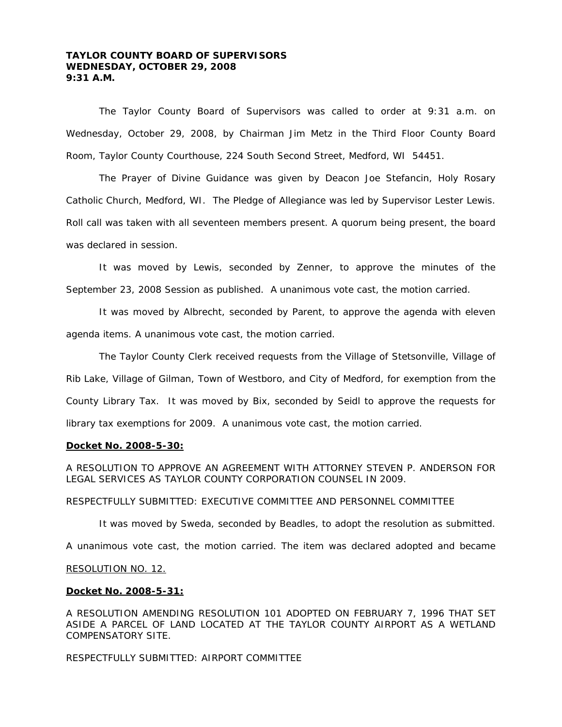# **TAYLOR COUNTY BOARD OF SUPERVISORS WEDNESDAY, OCTOBER 29, 2008 9:31 A.M.**

 The Taylor County Board of Supervisors was called to order at 9:31 a.m. on Wednesday, October 29, 2008, by Chairman Jim Metz in the Third Floor County Board Room, Taylor County Courthouse, 224 South Second Street, Medford, WI 54451.

 The Prayer of Divine Guidance was given by Deacon Joe Stefancin, Holy Rosary Catholic Church, Medford, WI. The Pledge of Allegiance was led by Supervisor Lester Lewis. Roll call was taken with all seventeen members present. A quorum being present, the board was declared in session.

 It was moved by Lewis, seconded by Zenner, to approve the minutes of the September 23, 2008 Session as published. A unanimous vote cast, the motion carried.

 It was moved by Albrecht, seconded by Parent, to approve the agenda with eleven agenda items. A unanimous vote cast, the motion carried.

 The Taylor County Clerk received requests from the Village of Stetsonville, Village of Rib Lake, Village of Gilman, Town of Westboro, and City of Medford, for exemption from the County Library Tax. It was moved by Bix, seconded by Seidl to approve the requests for library tax exemptions for 2009. A unanimous vote cast, the motion carried.

#### **Docket No. 2008-5-30:**

A RESOLUTION TO APPROVE AN AGREEMENT WITH ATTORNEY STEVEN P. ANDERSON FOR LEGAL SERVICES AS TAYLOR COUNTY CORPORATION COUNSEL IN 2009.

#### RESPECTFULLY SUBMITTED: EXECUTIVE COMMITTEE AND PERSONNEL COMMITTEE

It was moved by Sweda, seconded by Beadles, to adopt the resolution as submitted.

A unanimous vote cast, the motion carried. The item was declared adopted and became

#### RESOLUTION NO. 12.

## **Docket No. 2008-5-31:**

A RESOLUTION AMENDING RESOLUTION 101 ADOPTED ON FEBRUARY 7, 1996 THAT SET ASIDE A PARCEL OF LAND LOCATED AT THE TAYLOR COUNTY AIRPORT AS A WETLAND COMPENSATORY SITE.

RESPECTFULLY SUBMITTED: AIRPORT COMMITTEE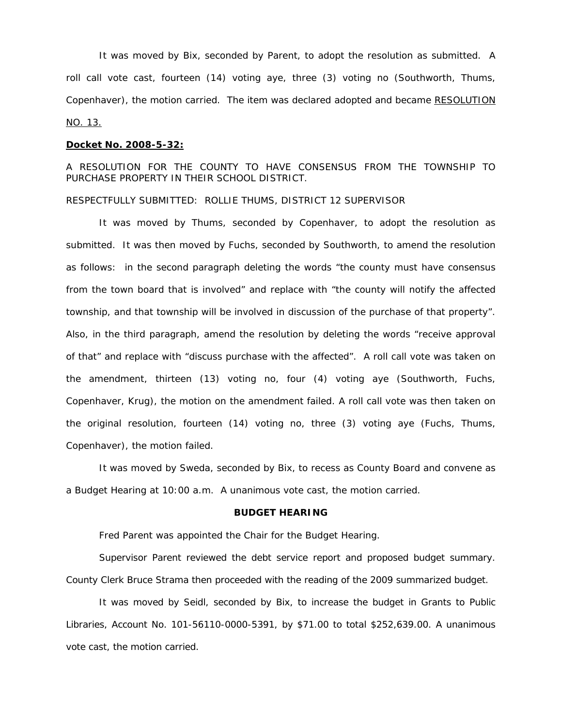It was moved by Bix, seconded by Parent, to adopt the resolution as submitted. A roll call vote cast, fourteen (14) voting aye, three (3) voting no (Southworth, Thums, Copenhaver), the motion carried. The item was declared adopted and became RESOLUTION NO. 13.

#### **Docket No. 2008-5-32:**

A RESOLUTION FOR THE COUNTY TO HAVE CONSENSUS FROM THE TOWNSHIP TO PURCHASE PROPERTY IN THEIR SCHOOL DISTRICT.

#### RESPECTFULLY SUBMITTED: ROLLIE THUMS, DISTRICT 12 SUPERVISOR

 It was moved by Thums, seconded by Copenhaver, to adopt the resolution as submitted. It was then moved by Fuchs, seconded by Southworth, to amend the resolution as follows: in the second paragraph deleting the words "the county must have consensus from the town board that is involved" and replace with "the county will notify the affected township, and that township will be involved in discussion of the purchase of that property". Also, in the third paragraph, amend the resolution by deleting the words "receive approval of that" and replace with "discuss purchase with the affected". A roll call vote was taken on the amendment, thirteen (13) voting no, four (4) voting aye (Southworth, Fuchs, Copenhaver, Krug), the motion on the amendment failed. A roll call vote was then taken on the original resolution, fourteen (14) voting no, three (3) voting aye (Fuchs, Thums, Copenhaver), the motion failed.

 It was moved by Sweda, seconded by Bix, to recess as County Board and convene as a Budget Hearing at 10:00 a.m. A unanimous vote cast, the motion carried.

#### **BUDGET HEARING**

Fred Parent was appointed the Chair for the Budget Hearing.

 Supervisor Parent reviewed the debt service report and proposed budget summary. County Clerk Bruce Strama then proceeded with the reading of the 2009 summarized budget.

 It was moved by Seidl, seconded by Bix, to increase the budget in Grants to Public Libraries, Account No. 101-56110-0000-5391, by \$71.00 to total \$252,639.00. A unanimous vote cast, the motion carried.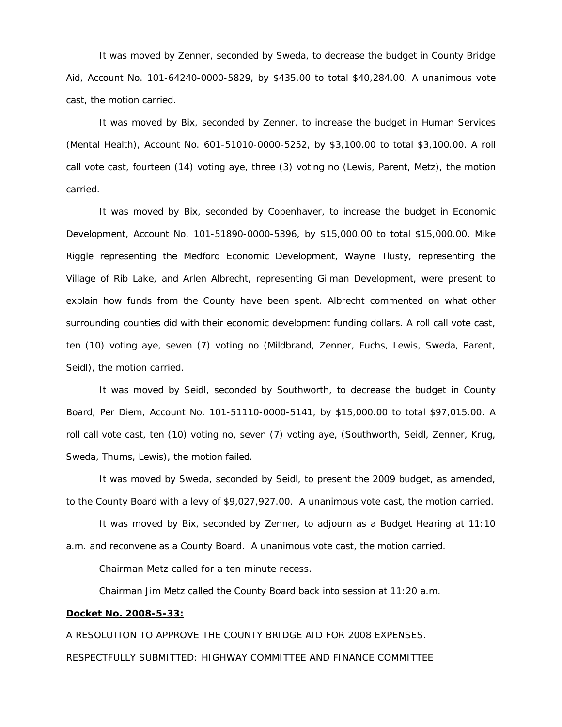It was moved by Zenner, seconded by Sweda, to decrease the budget in County Bridge Aid, Account No. 101-64240-0000-5829, by \$435.00 to total \$40,284.00. A unanimous vote cast, the motion carried.

 It was moved by Bix, seconded by Zenner, to increase the budget in Human Services (Mental Health), Account No. 601-51010-0000-5252, by \$3,100.00 to total \$3,100.00. A roll call vote cast, fourteen (14) voting aye, three (3) voting no (Lewis, Parent, Metz), the motion carried.

 It was moved by Bix, seconded by Copenhaver, to increase the budget in Economic Development, Account No. 101-51890-0000-5396, by \$15,000.00 to total \$15,000.00. Mike Riggle representing the Medford Economic Development, Wayne Tlusty, representing the Village of Rib Lake, and Arlen Albrecht, representing Gilman Development, were present to explain how funds from the County have been spent. Albrecht commented on what other surrounding counties did with their economic development funding dollars. A roll call vote cast, ten (10) voting aye, seven (7) voting no (Mildbrand, Zenner, Fuchs, Lewis, Sweda, Parent, Seidl), the motion carried.

 It was moved by Seidl, seconded by Southworth, to decrease the budget in County Board, Per Diem, Account No. 101-51110-0000-5141, by \$15,000.00 to total \$97,015.00. A roll call vote cast, ten (10) voting no, seven (7) voting aye, (Southworth, Seidl, Zenner, Krug, Sweda, Thums, Lewis), the motion failed.

 It was moved by Sweda, seconded by Seidl, to present the 2009 budget, as amended, to the County Board with a levy of \$9,027,927.00. A unanimous vote cast, the motion carried.

 It was moved by Bix, seconded by Zenner, to adjourn as a Budget Hearing at 11:10 a.m. and reconvene as a County Board. A unanimous vote cast, the motion carried.

Chairman Metz called for a ten minute recess.

Chairman Jim Metz called the County Board back into session at 11:20 a.m.

## **Docket No. 2008-5-33:**

A RESOLUTION TO APPROVE THE COUNTY BRIDGE AID FOR 2008 EXPENSES. RESPECTFULLY SUBMITTED: HIGHWAY COMMITTEE AND FINANCE COMMITTEE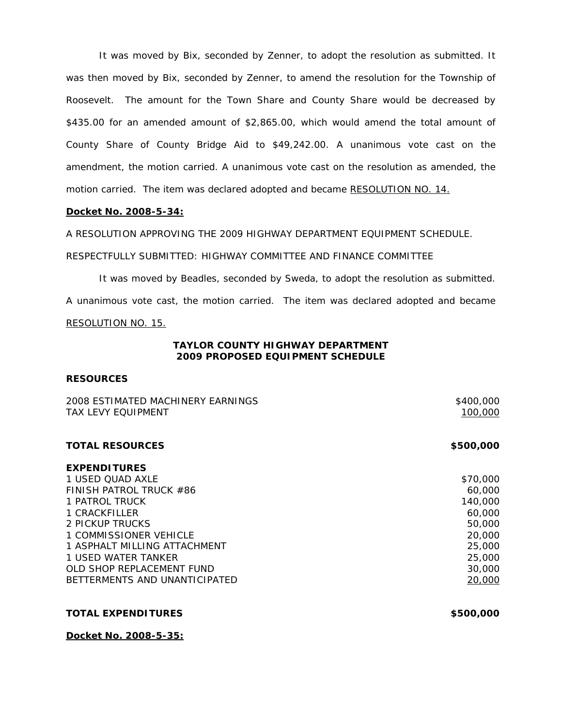It was moved by Bix, seconded by Zenner, to adopt the resolution as submitted. It was then moved by Bix, seconded by Zenner, to amend the resolution for the Township of Roosevelt. The amount for the Town Share and County Share would be decreased by \$435.00 for an amended amount of \$2,865.00, which would amend the total amount of County Share of County Bridge Aid to \$49,242.00. A unanimous vote cast on the amendment, the motion carried. A unanimous vote cast on the resolution as amended, the motion carried. The item was declared adopted and became RESOLUTION NO. 14.

## **Docket No. 2008-5-34:**

A RESOLUTION APPROVING THE 2009 HIGHWAY DEPARTMENT EQUIPMENT SCHEDULE.

RESPECTFULLY SUBMITTED: HIGHWAY COMMITTEE AND FINANCE COMMITTEE

 It was moved by Beadles, seconded by Sweda, to adopt the resolution as submitted. A unanimous vote cast, the motion carried. The item was declared adopted and became RESOLUTION NO. 15.

# **TAYLOR COUNTY HIGHWAY DEPARTMENT 2009 PROPOSED EQUIPMENT SCHEDULE**

# **RESOURCES**

| 2008 ESTIMATED MACHINERY EARNINGS<br><b>TAX LEVY EQUIPMENT</b> | \$400,000<br>100,000 |
|----------------------------------------------------------------|----------------------|
| <b>TOTAL RESOURCES</b>                                         | \$500,000            |
| <b>EXPENDITURES</b>                                            |                      |
| 1 USED OUAD AXLE                                               | \$70,000             |
| FINISH PATROL TRUCK #86                                        | 60,000               |
| 1 PATROL TRUCK                                                 | 140,000              |
| 1 CRACKFILLER                                                  | 60,000               |
| 2 PICKUP TRUCKS                                                | 50,000               |
| 1 COMMISSIONER VEHICLE                                         | 20,000               |
| 1 ASPHALT MILLING ATTACHMENT                                   | 25,000               |
| 1 USED WATER TANKER                                            | 25,000               |
| OLD SHOP REPLACEMENT FUND                                      | 30,000               |
| BETTERMENTS AND UNANTICIPATED                                  | 20,000               |
|                                                                |                      |
|                                                                |                      |

**TOTAL EXPENDITURES \$500,000** 

**Docket No. 2008-5-35:**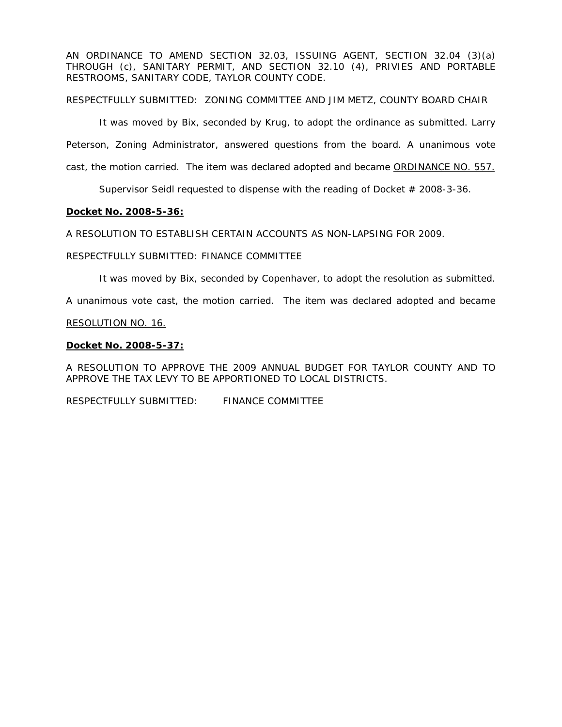AN ORDINANCE TO AMEND SECTION 32.03, ISSUING AGENT, SECTION 32.04 (3)(a) THROUGH (c), SANITARY PERMIT, AND SECTION 32.10 (4), PRIVIES AND PORTABLE RESTROOMS, SANITARY CODE, TAYLOR COUNTY CODE.

RESPECTFULLY SUBMITTED: ZONING COMMITTEE AND JIM METZ, COUNTY BOARD CHAIR

It was moved by Bix, seconded by Krug, to adopt the ordinance as submitted. Larry Peterson, Zoning Administrator, answered questions from the board. A unanimous vote cast, the motion carried. The item was declared adopted and became ORDINANCE NO. 557.

Supervisor Seidl requested to dispense with the reading of Docket # 2008-3-36.

# **Docket No. 2008-5-36:**

A RESOLUTION TO ESTABLISH CERTAIN ACCOUNTS AS NON-LAPSING FOR 2009.

# RESPECTFULLY SUBMITTED: FINANCE COMMITTEE

It was moved by Bix, seconded by Copenhaver, to adopt the resolution as submitted.

A unanimous vote cast, the motion carried. The item was declared adopted and became

# RESOLUTION NO. 16.

# **Docket No. 2008-5-37:**

A RESOLUTION TO APPROVE THE 2009 ANNUAL BUDGET FOR TAYLOR COUNTY AND TO APPROVE THE TAX LEVY TO BE APPORTIONED TO LOCAL DISTRICTS.

RESPECTFULLY SUBMITTED: FINANCE COMMITTEE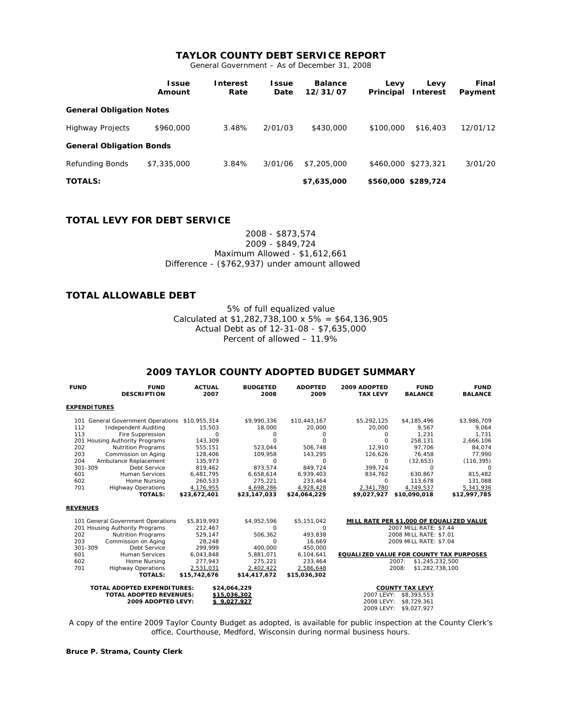# **TAYLOR COUNTY DEBT SERVICE REPORT**

General Government – As of December 31, 2008

|                                 | <b>Issue</b><br>Amount | <b>Interest</b><br>Rate | l ssue<br>Date | <b>Balance</b><br>12/31/07 | Levy<br>Principal | Levy<br><b>Interest</b> | Final<br>Payment |  |  |
|---------------------------------|------------------------|-------------------------|----------------|----------------------------|-------------------|-------------------------|------------------|--|--|
| <b>General Obligation Notes</b> |                        |                         |                |                            |                   |                         |                  |  |  |
| <b>Highway Projects</b>         | \$960,000              | 3.48%                   | 2/01/03        | \$430,000                  | \$100,000         | \$16,403                | 12/01/12         |  |  |
| <b>General Obligation Bonds</b> |                        |                         |                |                            |                   |                         |                  |  |  |
| <b>Refunding Bonds</b>          | \$7,335,000            | 3.84%                   | 3/01/06        | \$7,205,000                | \$460,000         | \$273,321               | 3/01/20          |  |  |
| <b>TOTALS:</b>                  |                        |                         |                | \$7,635,000                |                   | \$560,000 \$289,724     |                  |  |  |

## **TOTAL LEVY FOR DEBT SERVICE**

2008 - \$873,574 2009 - \$849,724 Maximum Allowed - \$1,612,661 Difference - (\$762,937) under amount allowed

## **TOTAL ALLOWABLE DEBT**

5% of full equalized value Calculated at  $$1,282,738,100 \times 5\% = $64,136,905$ Actual Debt as of 12-31-08 - \$7,635,000 Percent of allowed – 11.9%

## **2009 TAYLOR COUNTY ADOPTED BUDGET SUMMARY**

| <b>FUND</b>                                        | <b>FUND</b><br><b>DESCRIPTION</b>              | <b>ACTUAL</b><br>2007 | <b>BUDGETED</b><br>2008 | <b>ADOPTED</b><br>2009    | 2009 ADOPTED<br><b>TAX LEVY</b>         | <b>FUND</b><br><b>BALANCE</b>            | <b>FUND</b><br><b>BALANCE</b> |
|----------------------------------------------------|------------------------------------------------|-----------------------|-------------------------|---------------------------|-----------------------------------------|------------------------------------------|-------------------------------|
|                                                    | <b>EXPENDITURES</b>                            |                       |                         |                           |                                         |                                          |                               |
|                                                    | 101 General Government Operations \$10,955,314 |                       | \$9,990,336             | \$10,443,167              | \$5,292,125                             | \$4,185,496                              | \$3,986,709                   |
| 112                                                | Independent Auditing                           | 15,503                | 18,000                  | 20,000                    | 20,000                                  | 9,567                                    | 9,064                         |
| 113                                                | Fire Suppression                               | $\Omega$              | $\Omega$                | $\Omega$                  | 0                                       | 1,231                                    | 1,731                         |
|                                                    | 201 Housing Authority Programs                 | 143,309               | $\Omega$                | $\Omega$                  | $\Omega$                                | 258,131                                  | 2,666,106                     |
| 202                                                | <b>Nutrition Programs</b>                      | 555,151               | 523,044                 | 506.748                   | 12.910                                  | 97.706                                   | 84,074                        |
| 203                                                | Commission on Aging                            | 128,406               | 109,958                 | 143,295                   | 126,626                                 | 76,458                                   | 77,990                        |
| 204                                                | Ambulance Replacement                          | 135,973               | $\Omega$                | $\Omega$                  | $\Omega$                                | (32, 653)                                | (116, 395)                    |
| 301-309                                            | Debt Service                                   | 819.462               | 873.574                 | 849.724                   | 399.724                                 | $\Omega$                                 | $\Omega$                      |
| 601                                                | <b>Human Services</b>                          | 6,481,795             | 6,658,614               | 6,939,403                 | 834,762                                 | 630.867                                  | 815,482                       |
| 602                                                | Home Nursing                                   | 260,533               | 275,221                 | 233,464                   | 0                                       | 113,678                                  | 131,088                       |
| 701                                                | <b>Highway Operations</b>                      | 4,176,955             | 4,698,286               | 4,928,428                 | 2,341,780                               | 4,749,537                                | 5,341,936                     |
|                                                    | <b>TOTALS:</b>                                 | \$23,672,401          | \$23,147,033            | \$24,064,229              | \$9,027,927                             | \$10,090,018                             | \$12,997,785                  |
| <b>REVENUES</b>                                    |                                                |                       |                         |                           |                                         |                                          |                               |
|                                                    | 101 General Government Operations              | \$5,819,993           | \$4,952,596             | \$5,151,042               |                                         | MILL RATE PER \$1,000 OF EQUALIZED VALUE |                               |
|                                                    | 201 Housing Authority Programs                 | 212.467               | $\Omega$                | $\Omega$                  | 2007 MILL RATE: \$7.44                  |                                          |                               |
| 202                                                | <b>Nutrition Programs</b>                      | 529,147               | 506,362                 | 493,838                   | 2008 MILL RATE: \$7.01                  |                                          |                               |
| 203                                                | Commission on Aging                            | 28.248                | $\circ$                 | 16.669                    |                                         | 2009 MILL RATE: \$7.04                   |                               |
| 301-309                                            | Debt Service                                   | 299,999               | 400.000                 | 450,000                   |                                         |                                          |                               |
| 601                                                | <b>Human Services</b>                          | 6,043,848             | 5,881,071               | 6,104,641                 | EQUALIZED VALUE FOR COUNTY TAX PURPOSES |                                          |                               |
| 602                                                | Home Nursing                                   | 277.943               | 275,221                 | 233,464                   |                                         | 2007:<br>\$1,245,232,500                 |                               |
| 701                                                | <b>Highway Operations</b>                      | 2,531,031             | 2,402,422               | 2,586,648                 |                                         | 2008:<br>\$1,282,738,100                 |                               |
|                                                    | <b>TOTALS:</b>                                 | \$15,742,676          | \$14,417,672            | \$15,036,302              |                                         |                                          |                               |
| <b>TOTAL ADOPTED EXPENDITURES:</b><br>\$24,064,229 |                                                |                       |                         |                           |                                         | <b>COUNTY TAX LEVY</b>                   |                               |
| <b>TOTAL ADOPTED REVENUES:</b><br>\$15,036,302     |                                                |                       |                         | 2007 LEVY:<br>\$8,393,553 |                                         |                                          |                               |
| 2009 ADOPTED LEVY:<br>\$9,027,927                  |                                                |                       |                         | 2008 LEVY:<br>\$8,729,361 |                                         |                                          |                               |
|                                                    |                                                |                       |                         |                           | 2009 LEVY:                              | \$9,027,927                              |                               |

A copy of the entire 2009 Taylor County Budget as adopted, is available for public inspection at the County Clerk's office, Courthouse, Medford, Wisconsin during normal business hours.

**Bruce P. Strama, County Clerk**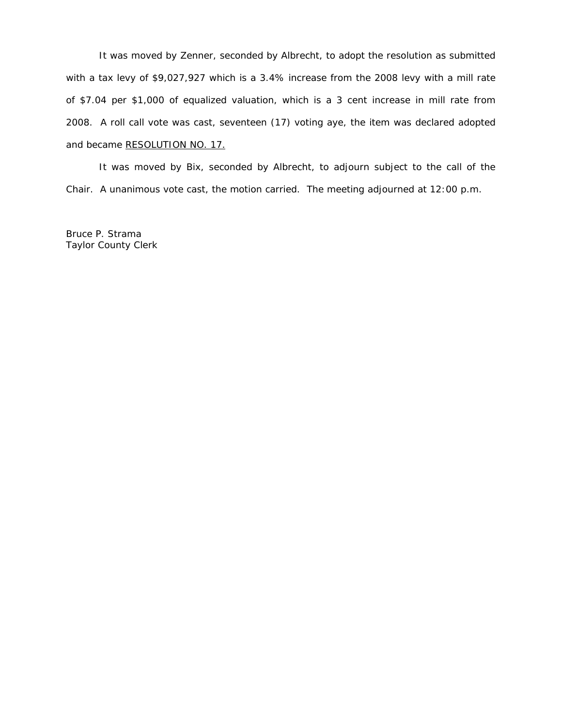It was moved by Zenner, seconded by Albrecht, to adopt the resolution as submitted with a tax levy of \$9,027,927 which is a 3.4% increase from the 2008 levy with a mill rate of \$7.04 per \$1,000 of equalized valuation, which is a 3 cent increase in mill rate from 2008. A roll call vote was cast, seventeen (17) voting aye, the item was declared adopted and became RESOLUTION NO. 17.

 It was moved by Bix, seconded by Albrecht, to adjourn subject to the call of the Chair. A unanimous vote cast, the motion carried. The meeting adjourned at 12:00 p.m.

Bruce P. Strama Taylor County Clerk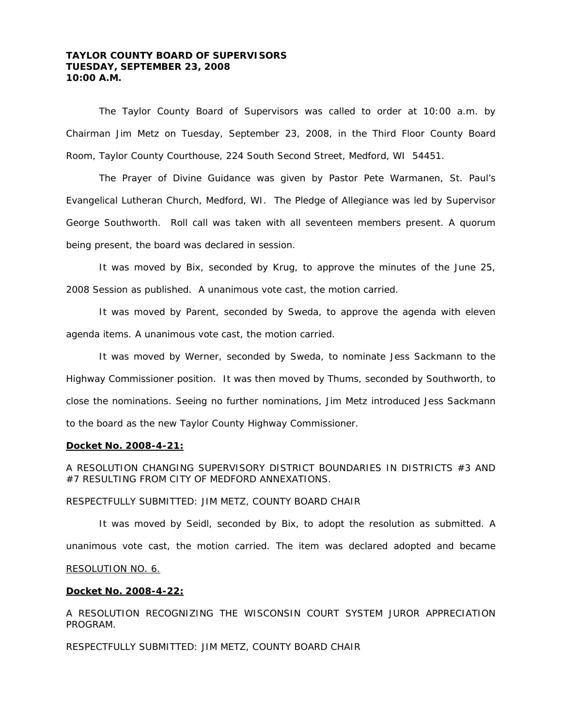# **TAYLOR COUNTY BOARD OF SUPERVISORS TUESDAY, SEPTEMBER 23, 2008 10:00 A.M.**

 The Taylor County Board of Supervisors was called to order at 10:00 a.m. by Chairman Jim Metz on Tuesday, September 23, 2008, in the Third Floor County Board Room, Taylor County Courthouse, 224 South Second Street, Medford, WI 54451.

 The Prayer of Divine Guidance was given by Pastor Pete Warmanen, St. Paul's Evangelical Lutheran Church, Medford, WI. The Pledge of Allegiance was led by Supervisor George Southworth. Roll call was taken with all seventeen members present. A quorum being present, the board was declared in session.

 It was moved by Bix, seconded by Krug, to approve the minutes of the June 25, 2008 Session as published. A unanimous vote cast, the motion carried.

 It was moved by Parent, seconded by Sweda, to approve the agenda with eleven agenda items. A unanimous vote cast, the motion carried.

 It was moved by Werner, seconded by Sweda, to nominate Jess Sackmann to the Highway Commissioner position. It was then moved by Thums, seconded by Southworth, to close the nominations. Seeing no further nominations, Jim Metz introduced Jess Sackmann to the board as the new Taylor County Highway Commissioner.

#### **Docket No. 2008-4-21:**

A RESOLUTION CHANGING SUPERVISORY DISTRICT BOUNDARIES IN DISTRICTS #3 AND #7 RESULTING FROM CITY OF MEDFORD ANNEXATIONS.

#### RESPECTFULLY SUBMITTED: JIM METZ, COUNTY BOARD CHAIR

It was moved by Seidl, seconded by Bix, to adopt the resolution as submitted. A unanimous vote cast, the motion carried. The item was declared adopted and became RESOLUTION NO. 6.

# **Docket No. 2008-4-22:**

A RESOLUTION RECOGNIZING THE WISCONSIN COURT SYSTEM JUROR APPRECIATION PROGRAM.

RESPECTFULLY SUBMITTED: JIM METZ, COUNTY BOARD CHAIR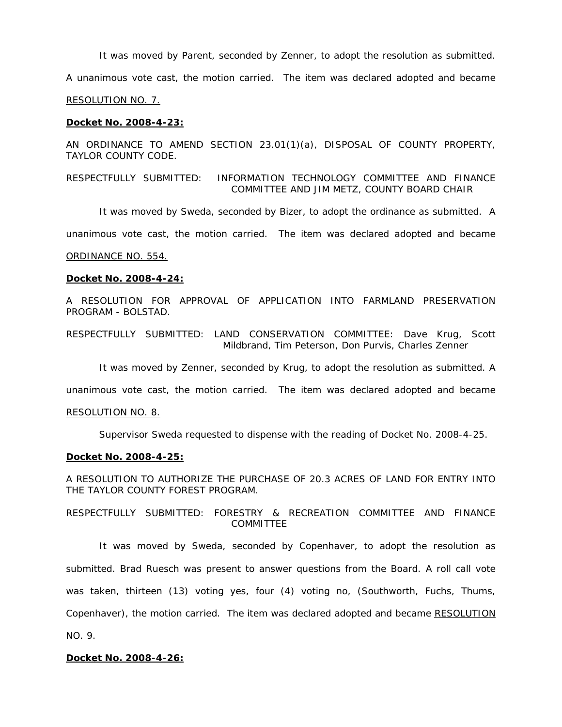It was moved by Parent, seconded by Zenner, to adopt the resolution as submitted.

A unanimous vote cast, the motion carried. The item was declared adopted and became

RESOLUTION NO. 7.

#### **Docket No. 2008-4-23:**

AN ORDINANCE TO AMEND SECTION 23.01(1)(a), DISPOSAL OF COUNTY PROPERTY, TAYLOR COUNTY CODE.

RESPECTFULLY SUBMITTED: INFORMATION TECHNOLOGY COMMITTEE AND FINANCE COMMITTEE AND JIM METZ, COUNTY BOARD CHAIR

It was moved by Sweda, seconded by Bizer, to adopt the ordinance as submitted. A

unanimous vote cast, the motion carried. The item was declared adopted and became

### ORDINANCE NO. 554.

#### **Docket No. 2008-4-24:**

A RESOLUTION FOR APPROVAL OF APPLICATION INTO FARMLAND PRESERVATION PROGRAM - BOLSTAD.

RESPECTFULLY SUBMITTED: LAND CONSERVATION COMMITTEE: Dave Krug, Scott Mildbrand, Tim Peterson, Don Purvis, Charles Zenner

It was moved by Zenner, seconded by Krug, to adopt the resolution as submitted. A

unanimous vote cast, the motion carried. The item was declared adopted and became

#### RESOLUTION NO. 8.

Supervisor Sweda requested to dispense with the reading of Docket No. 2008-4-25.

#### **Docket No. 2008-4-25:**

A RESOLUTION TO AUTHORIZE THE PURCHASE OF 20.3 ACRES OF LAND FOR ENTRY INTO THE TAYLOR COUNTY FOREST PROGRAM.

RESPECTFULLY SUBMITTED: FORESTRY & RECREATION COMMITTEE AND FINANCE **COMMITTEE** 

 It was moved by Sweda, seconded by Copenhaver, to adopt the resolution as submitted. Brad Ruesch was present to answer questions from the Board. A roll call vote was taken, thirteen (13) voting yes, four (4) voting no, (Southworth, Fuchs, Thums, Copenhaver), the motion carried. The item was declared adopted and became RESOLUTION

NO. 9.

# **Docket No. 2008-4-26:**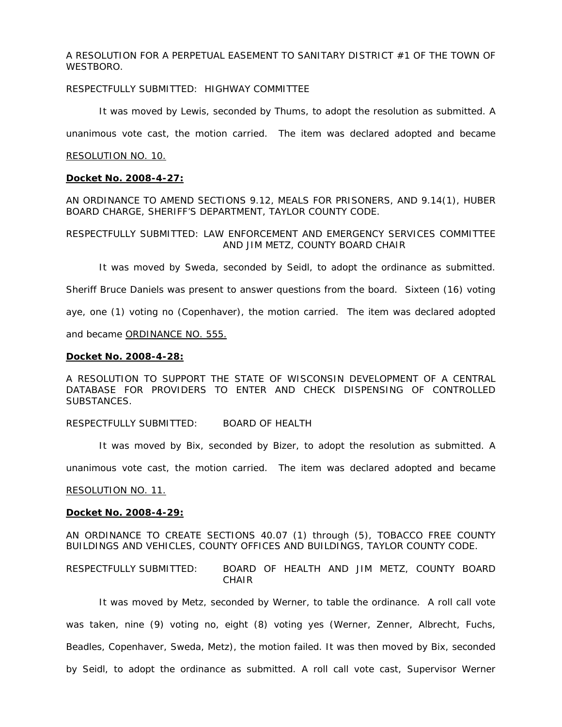A RESOLUTION FOR A PERPETUAL EASEMENT TO SANITARY DISTRICT #1 OF THE TOWN OF WESTBORO.

## RESPECTFULLY SUBMITTED: HIGHWAY COMMITTEE

It was moved by Lewis, seconded by Thums, to adopt the resolution as submitted. A

unanimous vote cast, the motion carried. The item was declared adopted and became

#### RESOLUTION NO. 10.

#### **Docket No. 2008-4-27:**

AN ORDINANCE TO AMEND SECTIONS 9.12, MEALS FOR PRISONERS, AND 9.14(1), HUBER BOARD CHARGE, SHERIFF'S DEPARTMENT, TAYLOR COUNTY CODE.

# RESPECTFULLY SUBMITTED: LAW ENFORCEMENT AND EMERGENCY SERVICES COMMITTEE AND JIM METZ, COUNTY BOARD CHAIR

It was moved by Sweda, seconded by Seidl, to adopt the ordinance as submitted.

Sheriff Bruce Daniels was present to answer questions from the board. Sixteen (16) voting

aye, one (1) voting no (Copenhaver), the motion carried. The item was declared adopted

and became ORDINANCE NO. 555.

#### **Docket No. 2008-4-28:**

A RESOLUTION TO SUPPORT THE STATE OF WISCONSIN DEVELOPMENT OF A CENTRAL DATABASE FOR PROVIDERS TO ENTER AND CHECK DISPENSING OF CONTROLLED SUBSTANCES.

## RESPECTFULLY SUBMITTED: BOARD OF HEALTH

It was moved by Bix, seconded by Bizer, to adopt the resolution as submitted. A

unanimous vote cast, the motion carried. The item was declared adopted and became

#### RESOLUTION NO. 11.

#### **Docket No. 2008-4-29:**

AN ORDINANCE TO CREATE SECTIONS 40.07 (1) through (5), TOBACCO FREE COUNTY BUILDINGS AND VEHICLES, COUNTY OFFICES AND BUILDINGS, TAYLOR COUNTY CODE.

RESPECTFULLY SUBMITTED: BOARD OF HEALTH AND JIM METZ, COUNTY BOARD **CHAIR** 

 It was moved by Metz, seconded by Werner, to table the ordinance. A roll call vote was taken, nine (9) voting no, eight (8) voting yes (Werner, Zenner, Albrecht, Fuchs, Beadles, Copenhaver, Sweda, Metz), the motion failed. It was then moved by Bix, seconded by Seidl, to adopt the ordinance as submitted. A roll call vote cast, Supervisor Werner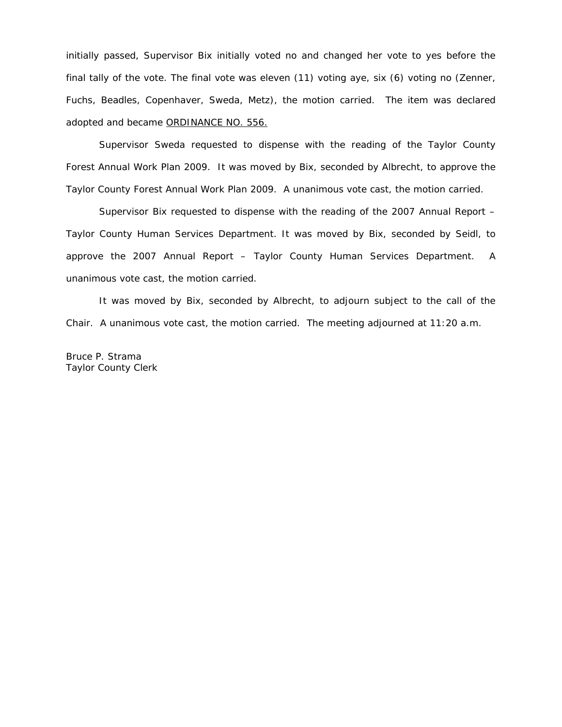initially passed, Supervisor Bix initially voted no and changed her vote to yes before the final tally of the vote. The final vote was eleven (11) voting aye, six (6) voting no (Zenner, Fuchs, Beadles, Copenhaver, Sweda, Metz), the motion carried. The item was declared adopted and became ORDINANCE NO. 556.

 Supervisor Sweda requested to dispense with the reading of the Taylor County Forest Annual Work Plan 2009. It was moved by Bix, seconded by Albrecht, to approve the Taylor County Forest Annual Work Plan 2009. A unanimous vote cast, the motion carried.

 Supervisor Bix requested to dispense with the reading of the 2007 Annual Report – Taylor County Human Services Department. It was moved by Bix, seconded by Seidl, to approve the 2007 Annual Report – Taylor County Human Services Department. A unanimous vote cast, the motion carried.

 It was moved by Bix, seconded by Albrecht, to adjourn subject to the call of the Chair. A unanimous vote cast, the motion carried. The meeting adjourned at 11:20 a.m.

Bruce P. Strama Taylor County Clerk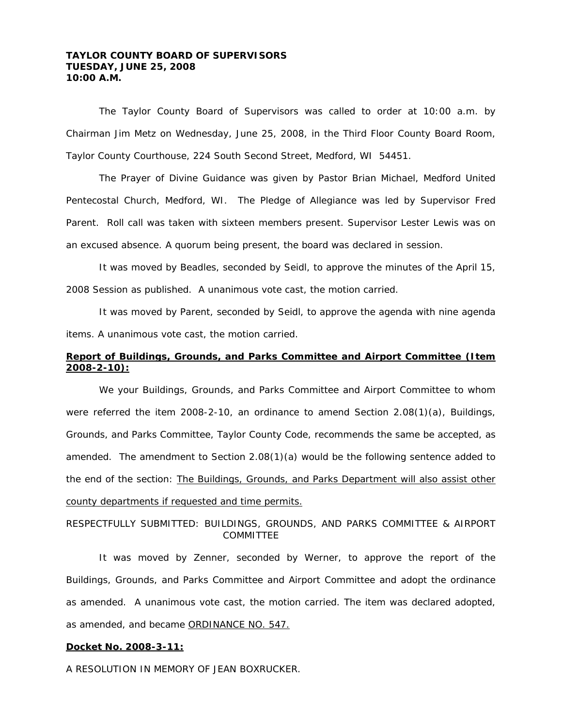# **TAYLOR COUNTY BOARD OF SUPERVISORS TUESDAY, JUNE 25, 2008 10:00 A.M.**

 The Taylor County Board of Supervisors was called to order at 10:00 a.m. by Chairman Jim Metz on Wednesday, June 25, 2008, in the Third Floor County Board Room, Taylor County Courthouse, 224 South Second Street, Medford, WI 54451.

 The Prayer of Divine Guidance was given by Pastor Brian Michael, Medford United Pentecostal Church, Medford, WI. The Pledge of Allegiance was led by Supervisor Fred Parent. Roll call was taken with sixteen members present. Supervisor Lester Lewis was on an excused absence. A quorum being present, the board was declared in session.

 It was moved by Beadles, seconded by Seidl, to approve the minutes of the April 15, 2008 Session as published. A unanimous vote cast, the motion carried.

 It was moved by Parent, seconded by Seidl, to approve the agenda with nine agenda items. A unanimous vote cast, the motion carried.

# **Report of Buildings, Grounds, and Parks Committee and Airport Committee (Item 2008-2-10):**

 We your Buildings, Grounds, and Parks Committee and Airport Committee to whom were referred the item 2008-2-10, an ordinance to amend Section 2.08(1)(a), Buildings, Grounds, and Parks Committee, Taylor County Code, recommends the same be accepted, as amended. The amendment to Section 2.08(1)(a) would be the following sentence added to the end of the section: The Buildings, Grounds, and Parks Department will also assist other county departments if requested and time permits.

# RESPECTFULLY SUBMITTED: BUILDINGS, GROUNDS, AND PARKS COMMITTEE & AIRPORT COMMITTEE

It was moved by Zenner, seconded by Werner, to approve the report of the Buildings, Grounds, and Parks Committee and Airport Committee and adopt the ordinance as amended. A unanimous vote cast, the motion carried. The item was declared adopted, as amended, and became ORDINANCE NO. 547.

## **Docket No. 2008-3-11:**

A RESOLUTION IN MEMORY OF JEAN BOXRUCKER.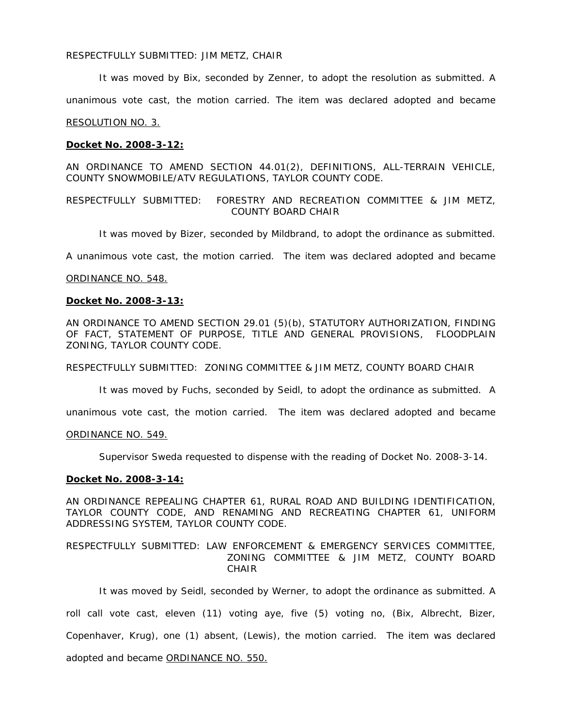### RESPECTFULLY SUBMITTED: JIM METZ, CHAIR

It was moved by Bix, seconded by Zenner, to adopt the resolution as submitted. A

unanimous vote cast, the motion carried. The item was declared adopted and became

### RESOLUTION NO. 3.

## **Docket No. 2008-3-12:**

AN ORDINANCE TO AMEND SECTION 44.01(2), DEFINITIONS, ALL-TERRAIN VEHICLE, COUNTY SNOWMOBILE/ATV REGULATIONS, TAYLOR COUNTY CODE.

## RESPECTFULLY SUBMITTED: FORESTRY AND RECREATION COMMITTEE & JIM METZ, COUNTY BOARD CHAIR

It was moved by Bizer, seconded by Mildbrand, to adopt the ordinance as submitted.

A unanimous vote cast, the motion carried. The item was declared adopted and became

### ORDINANCE NO. 548.

#### **Docket No. 2008-3-13:**

AN ORDINANCE TO AMEND SECTION 29.01 (5)(b), STATUTORY AUTHORIZATION, FINDING OF FACT, STATEMENT OF PURPOSE, TITLE AND GENERAL PROVISIONS, FLOODPLAIN ZONING, TAYLOR COUNTY CODE.

RESPECTFULLY SUBMITTED: ZONING COMMITTEE & JIM METZ, COUNTY BOARD CHAIR

It was moved by Fuchs, seconded by Seidl, to adopt the ordinance as submitted. A

unanimous vote cast, the motion carried. The item was declared adopted and became

#### ORDINANCE NO. 549.

Supervisor Sweda requested to dispense with the reading of Docket No. 2008-3-14.

#### **Docket No. 2008-3-14:**

AN ORDINANCE REPEALING CHAPTER 61, RURAL ROAD AND BUILDING IDENTIFICATION, TAYLOR COUNTY CODE, AND RENAMING AND RECREATING CHAPTER 61, UNIFORM ADDRESSING SYSTEM, TAYLOR COUNTY CODE.

## RESPECTFULLY SUBMITTED: LAW ENFORCEMENT & EMERGENCY SERVICES COMMITTEE, ZONING COMMITTEE & JIM METZ, COUNTY BOARD CHAIR

 It was moved by Seidl, seconded by Werner, to adopt the ordinance as submitted. A roll call vote cast, eleven (11) voting aye, five (5) voting no, (Bix, Albrecht, Bizer, Copenhaver, Krug), one (1) absent, (Lewis), the motion carried. The item was declared adopted and became ORDINANCE NO. 550.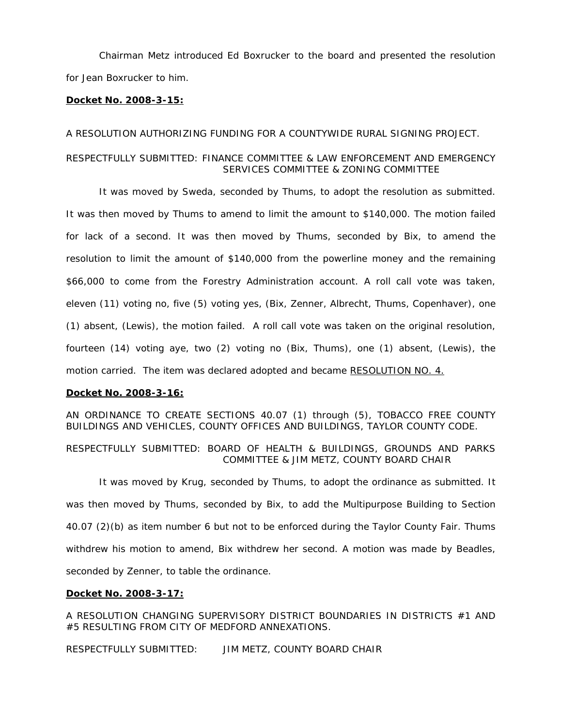Chairman Metz introduced Ed Boxrucker to the board and presented the resolution for Jean Boxrucker to him.

## **Docket No. 2008-3-15:**

## *A RESOLUTION AUTHORIZING FUNDING FOR A COUNTYWIDE RURAL SIGNING PROJECT.*

# RESPECTFULLY SUBMITTED: FINANCE COMMITTEE & LAW ENFORCEMENT AND EMERGENCY SERVICES COMMITTEE & ZONING COMMITTEE

 It was moved by Sweda, seconded by Thums, to adopt the resolution as submitted. It was then moved by Thums to amend to limit the amount to \$140,000. The motion failed for lack of a second. It was then moved by Thums, seconded by Bix, to amend the resolution to limit the amount of \$140,000 from the powerline money and the remaining \$66,000 to come from the Forestry Administration account. A roll call vote was taken, eleven (11) voting no, five (5) voting yes, (Bix, Zenner, Albrecht, Thums, Copenhaver), one (1) absent, (Lewis), the motion failed. A roll call vote was taken on the original resolution, fourteen (14) voting aye, two (2) voting no (Bix, Thums), one (1) absent, (Lewis), the motion carried. The item was declared adopted and became RESOLUTION NO. 4.

## **Docket No. 2008-3-16:**

AN ORDINANCE TO CREATE SECTIONS 40.07 (1) through (5), TOBACCO FREE COUNTY BUILDINGS AND VEHICLES, COUNTY OFFICES AND BUILDINGS, TAYLOR COUNTY CODE.

RESPECTFULLY SUBMITTED: BOARD OF HEALTH & BUILDINGS, GROUNDS AND PARKS COMMITTEE & JIM METZ, COUNTY BOARD CHAIR

It was moved by Krug, seconded by Thums, to adopt the ordinance as submitted. It was then moved by Thums, seconded by Bix, to add the Multipurpose Building to Section 40.07 (2)(b) as item number 6 but not to be enforced during the Taylor County Fair. Thums withdrew his motion to amend, Bix withdrew her second. A motion was made by Beadles, seconded by Zenner, to table the ordinance.

## **Docket No. 2008-3-17:**

A RESOLUTION CHANGING SUPERVISORY DISTRICT BOUNDARIES IN DISTRICTS #1 AND #5 RESULTING FROM CITY OF MEDFORD ANNEXATIONS.

RESPECTFULLY SUBMITTED: JIM METZ, COUNTY BOARD CHAIR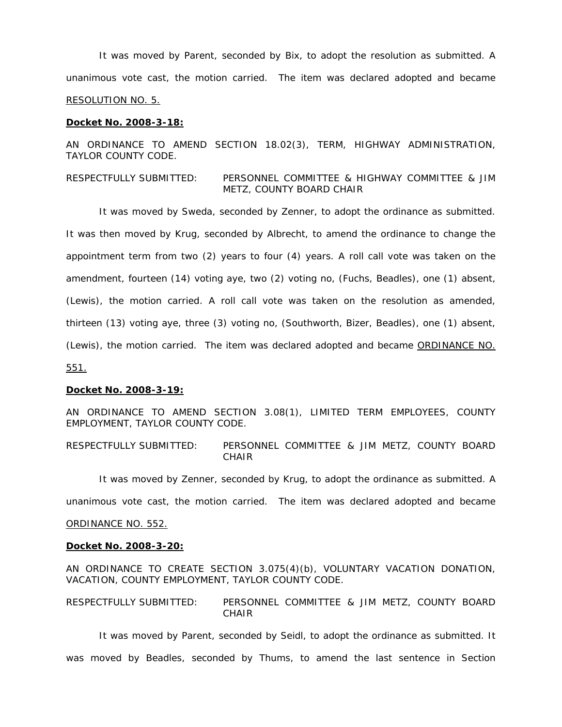It was moved by Parent, seconded by Bix, to adopt the resolution as submitted. A unanimous vote cast, the motion carried. The item was declared adopted and became RESOLUTION NO. 5.

#### **Docket No. 2008-3-18:**

AN ORDINANCE TO AMEND SECTION 18.02(3), TERM, HIGHWAY ADMINISTRATION, TAYLOR COUNTY CODE.

## RESPECTFULLY SUBMITTED: PERSONNEL COMMITTEE & HIGHWAY COMMITTEE & JIM METZ, COUNTY BOARD CHAIR

 It was moved by Sweda, seconded by Zenner, to adopt the ordinance as submitted. It was then moved by Krug, seconded by Albrecht, to amend the ordinance to change the appointment term from two (2) years to four (4) years. A roll call vote was taken on the amendment, fourteen (14) voting aye, two (2) voting no, (Fuchs, Beadles), one (1) absent, (Lewis), the motion carried. A roll call vote was taken on the resolution as amended, thirteen (13) voting aye, three (3) voting no, (Southworth, Bizer, Beadles), one (1) absent, (Lewis), the motion carried. The item was declared adopted and became ORDINANCE NO. 551.

#### **Docket No. 2008-3-19:**

AN ORDINANCE TO AMEND SECTION 3.08(1), LIMITED TERM EMPLOYEES, COUNTY EMPLOYMENT, TAYLOR COUNTY CODE.

RESPECTFULLY SUBMITTED: PERSONNEL COMMITTEE & JIM METZ, COUNTY BOARD CHAIR

 It was moved by Zenner, seconded by Krug, to adopt the ordinance as submitted. A unanimous vote cast, the motion carried. The item was declared adopted and became ORDINANCE NO. 552.

# **Docket No. 2008-3-20:**

AN ORDINANCE TO CREATE SECTION 3.075(4)(b), VOLUNTARY VACATION DONATION, VACATION, COUNTY EMPLOYMENT, TAYLOR COUNTY CODE.

RESPECTFULLY SUBMITTED: PERSONNEL COMMITTEE & JIM METZ, COUNTY BOARD CHAIR

 It was moved by Parent, seconded by Seidl, to adopt the ordinance as submitted. It was moved by Beadles, seconded by Thums, to amend the last sentence in Section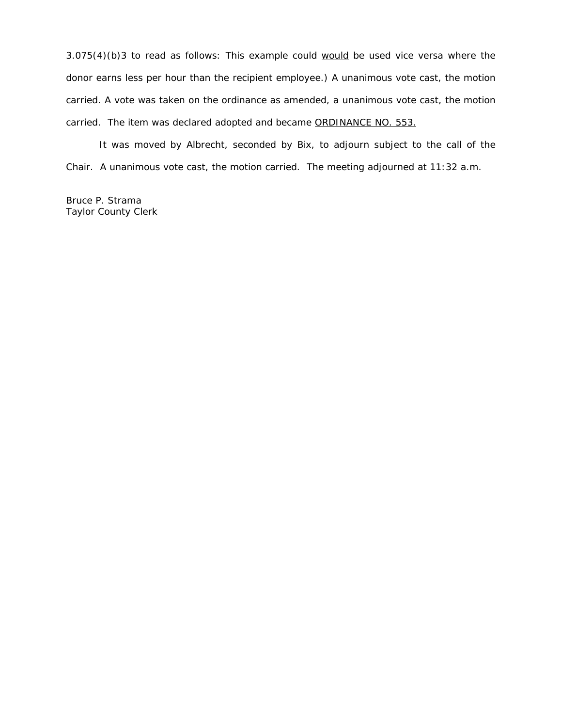$3.075(4)(b)3$  to read as follows: This example  $e$ ould would be used vice versa where the donor earns less per hour than the recipient employee.) A unanimous vote cast, the motion carried. A vote was taken on the ordinance as amended, a unanimous vote cast, the motion carried. The item was declared adopted and became ORDINANCE NO. 553.

 It was moved by Albrecht, seconded by Bix, to adjourn subject to the call of the Chair. A unanimous vote cast, the motion carried. The meeting adjourned at 11:32 a.m.

Bruce P. Strama Taylor County Clerk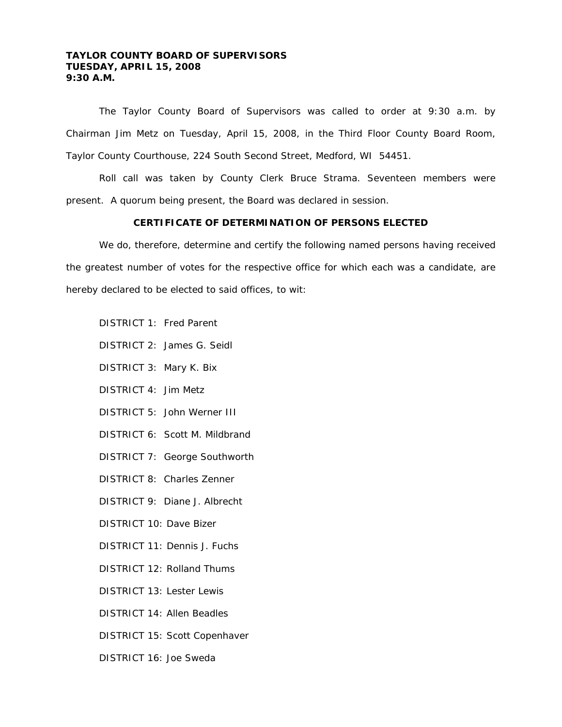# **TAYLOR COUNTY BOARD OF SUPERVISORS TUESDAY, APRIL 15, 2008 9:30 A.M.**

 The Taylor County Board of Supervisors was called to order at 9:30 a.m. by Chairman Jim Metz on Tuesday, April 15, 2008, in the Third Floor County Board Room, Taylor County Courthouse, 224 South Second Street, Medford, WI 54451.

 Roll call was taken by County Clerk Bruce Strama. Seventeen members were present. A quorum being present, the Board was declared in session.

# **CERTIFICATE OF DETERMINATION OF PERSONS ELECTED**

We do, therefore, determine and certify the following named persons having received the greatest number of votes for the respective office for which each was a candidate, are hereby declared to be elected to said offices, to wit:

- DISTRICT 1: Fred Parent
- DISTRICT 2: James G. Seidl
- DISTRICT 3: Mary K. Bix
- DISTRICT 4: Jim Metz
- DISTRICT 5: John Werner III
- DISTRICT 6: Scott M. Mildbrand
- DISTRICT 7: George Southworth
- DISTRICT 8: Charles Zenner
- DISTRICT 9: Diane J. Albrecht
- DISTRICT 10: Dave Bizer
- DISTRICT 11: Dennis J. Fuchs
- DISTRICT 12: Rolland Thums
- DISTRICT 13: Lester Lewis
- DISTRICT 14: Allen Beadles
- DISTRICT 15: Scott Copenhaver
- DISTRICT 16: Joe Sweda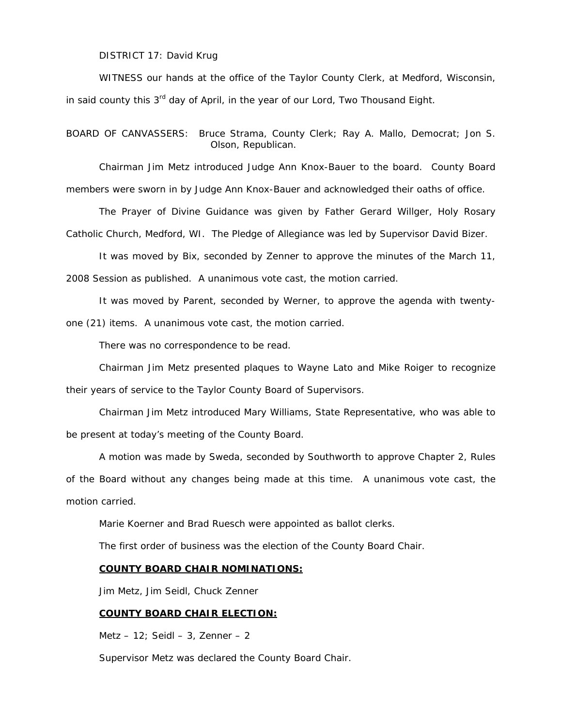DISTRICT 17: David Krug

WITNESS our hands at the office of the Taylor County Clerk, at Medford, Wisconsin, in said county this  $3<sup>rd</sup>$  day of April, in the year of our Lord, Two Thousand Eight.

BOARD OF CANVASSERS: Bruce Strama, County Clerk; Ray A. Mallo, Democrat; Jon S. Olson, Republican.

 Chairman Jim Metz introduced Judge Ann Knox-Bauer to the board. County Board members were sworn in by Judge Ann Knox-Bauer and acknowledged their oaths of office.

The Prayer of Divine Guidance was given by Father Gerard Willger, Holy Rosary

Catholic Church, Medford, WI. The Pledge of Allegiance was led by Supervisor David Bizer.

It was moved by Bix, seconded by Zenner to approve the minutes of the March 11,

2008 Session as published. A unanimous vote cast, the motion carried.

It was moved by Parent, seconded by Werner, to approve the agenda with twenty-

one (21) items. A unanimous vote cast, the motion carried.

There was no correspondence to be read.

Chairman Jim Metz presented plaques to Wayne Lato and Mike Roiger to recognize

their years of service to the Taylor County Board of Supervisors.

 Chairman Jim Metz introduced Mary Williams, State Representative, who was able to be present at today's meeting of the County Board.

 A motion was made by Sweda, seconded by Southworth to approve Chapter 2, Rules of the Board without any changes being made at this time. A unanimous vote cast, the motion carried.

Marie Koerner and Brad Ruesch were appointed as ballot clerks.

The first order of business was the election of the County Board Chair.

## **COUNTY BOARD CHAIR NOMINATIONS:**

Jim Metz, Jim Seidl, Chuck Zenner

## **COUNTY BOARD CHAIR ELECTION:**

Metz  $-12$ ; Seidl  $-3$ , Zenner  $-2$ 

Supervisor Metz was declared the County Board Chair.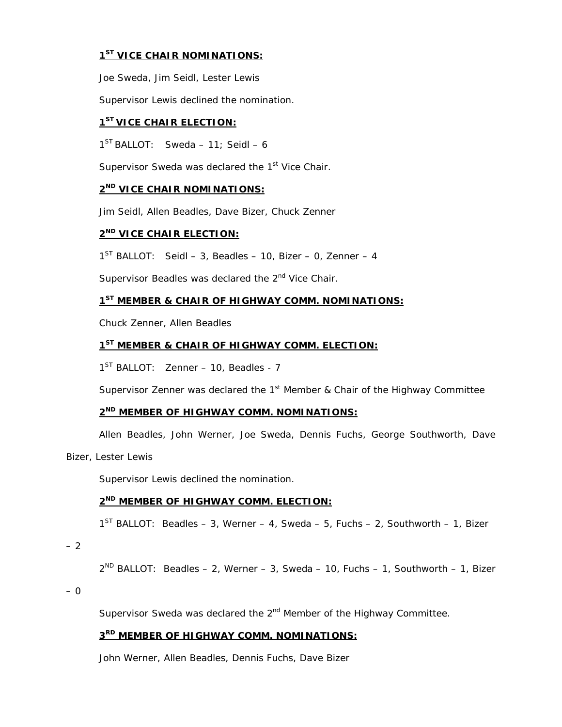# **1ST VICE CHAIR NOMINATIONS:**

Joe Sweda, Jim Seidl, Lester Lewis

Supervisor Lewis declined the nomination.

# **1ST VICE CHAIR ELECTION:**

 $1^{ST}$  BALLOT: Sweda – 11; Seidl – 6

Supervisor Sweda was declared the 1<sup>st</sup> Vice Chair.

# **2ND VICE CHAIR NOMINATIONS:**

Jim Seidl, Allen Beadles, Dave Bizer, Chuck Zenner

# **2ND VICE CHAIR ELECTION:**

 $1<sup>ST</sup>$  BALLOT: Seidl – 3, Beadles – 10, Bizer – 0, Zenner – 4

Supervisor Beadles was declared the 2<sup>nd</sup> Vice Chair.

# **1ST MEMBER & CHAIR OF HIGHWAY COMM. NOMINATIONS:**

Chuck Zenner, Allen Beadles

# **1ST MEMBER & CHAIR OF HIGHWAY COMM. ELECTION:**

 $1^{ST}$  BALLOT: Zenner – 10, Beadles - 7

Supervisor Zenner was declared the  $1<sup>st</sup>$  Member & Chair of the Highway Committee

# **2ND MEMBER OF HIGHWAY COMM. NOMINATIONS:**

Allen Beadles, John Werner, Joe Sweda, Dennis Fuchs, George Southworth, Dave

Bizer, Lester Lewis

Supervisor Lewis declined the nomination.

# **2ND MEMBER OF HIGHWAY COMM. ELECTION:**

 $1^{ST}$  BALLOT: Beadles – 3, Werner – 4, Sweda – 5, Fuchs – 2, Southworth – 1, Bizer

– 2

 $2^{ND}$  BALLOT: Beadles – 2, Werner – 3, Sweda – 10, Fuchs – 1, Southworth – 1, Bizer

– 0

Supervisor Sweda was declared the 2<sup>nd</sup> Member of the Highway Committee.

# **3RD MEMBER OF HIGHWAY COMM. NOMINATIONS:**

John Werner, Allen Beadles, Dennis Fuchs, Dave Bizer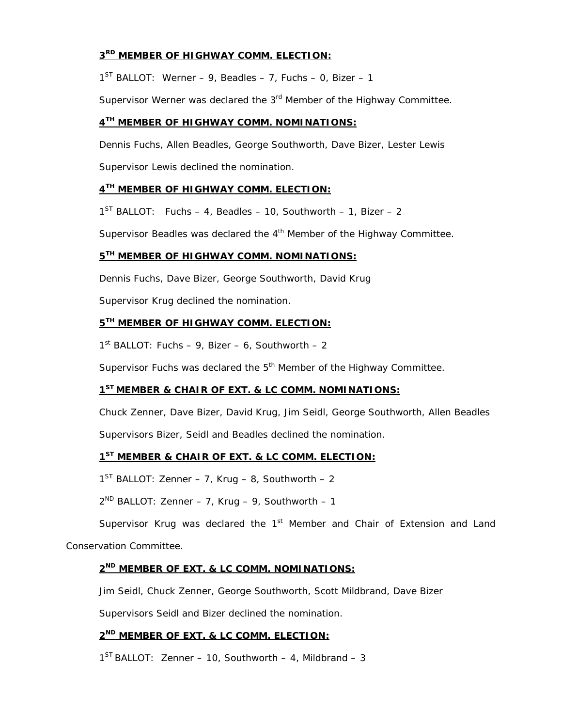# **3RD MEMBER OF HIGHWAY COMM. ELECTION:**

 $1^{ST}$  BALLOT: Werner – 9, Beadles – 7, Fuchs – 0, Bizer – 1

Supervisor Werner was declared the  $3<sup>rd</sup>$  Member of the Highway Committee.

# **4TH MEMBER OF HIGHWAY COMM. NOMINATIONS:**

Dennis Fuchs, Allen Beadles, George Southworth, Dave Bizer, Lester Lewis

Supervisor Lewis declined the nomination.

# **4TH MEMBER OF HIGHWAY COMM. ELECTION:**

 $1^{ST}$  BALLOT: Fuchs – 4, Beadles – 10, Southworth – 1, Bizer – 2

Supervisor Beadles was declared the  $4<sup>th</sup>$  Member of the Highway Committee.

# **5TH MEMBER OF HIGHWAY COMM. NOMINATIONS:**

Dennis Fuchs, Dave Bizer, George Southworth, David Krug

Supervisor Krug declined the nomination.

# **5TH MEMBER OF HIGHWAY COMM. ELECTION:**

 $1<sup>st</sup>$  BALLOT: Fuchs – 9, Bizer – 6, Southworth – 2

Supervisor Fuchs was declared the 5<sup>th</sup> Member of the Highway Committee.

# **1ST MEMBER & CHAIR OF EXT. & LC COMM. NOMINATIONS:**

Chuck Zenner, Dave Bizer, David Krug, Jim Seidl, George Southworth, Allen Beadles

Supervisors Bizer, Seidl and Beadles declined the nomination.

# **1ST MEMBER & CHAIR OF EXT. & LC COMM. ELECTION:**

 $1<sup>ST</sup>$  BALLOT: Zenner – 7, Krug – 8, Southworth – 2

 $2^{ND}$  BALLOT: Zenner – 7, Krug – 9, Southworth – 1

Supervisor Krug was declared the  $1<sup>st</sup>$  Member and Chair of Extension and Land

Conservation Committee.

# **2ND MEMBER OF EXT. & LC COMM. NOMINATIONS:**

Jim Seidl, Chuck Zenner, George Southworth, Scott Mildbrand, Dave Bizer

Supervisors Seidl and Bizer declined the nomination.

# **2ND MEMBER OF EXT. & LC COMM. ELECTION:**

 $1^{ST}$  BALLOT: Zenner – 10, Southworth – 4, Mildbrand – 3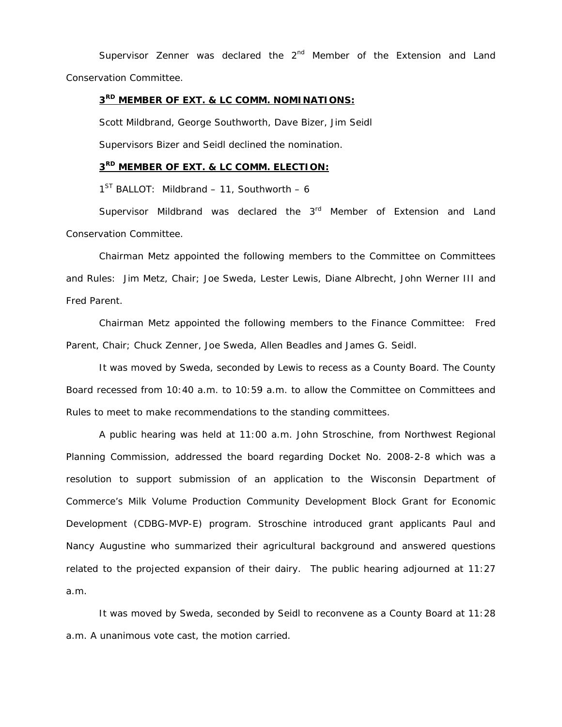Supervisor Zenner was declared the  $2<sup>nd</sup>$  Member of the Extension and Land Conservation Committee.

# **3RD MEMBER OF EXT. & LC COMM. NOMINATIONS:**

 Scott Mildbrand, George Southworth, Dave Bizer, Jim Seidl Supervisors Bizer and Seidl declined the nomination.

# **3RD MEMBER OF EXT. & LC COMM. ELECTION:**

 $1^{ST}$  BALLOT: Mildbrand – 11, Southworth – 6

Supervisor Mildbrand was declared the  $3<sup>rd</sup>$  Member of Extension and Land Conservation Committee.

 Chairman Metz appointed the following members to the Committee on Committees and Rules: Jim Metz, Chair; Joe Sweda, Lester Lewis, Diane Albrecht, John Werner III and Fred Parent.

 Chairman Metz appointed the following members to the Finance Committee: Fred Parent, Chair; Chuck Zenner, Joe Sweda, Allen Beadles and James G. Seidl.

 It was moved by Sweda, seconded by Lewis to recess as a County Board. The County Board recessed from 10:40 a.m. to 10:59 a.m. to allow the Committee on Committees and Rules to meet to make recommendations to the standing committees.

 A public hearing was held at 11:00 a.m. John Stroschine, from Northwest Regional Planning Commission, addressed the board regarding Docket No. 2008-2-8 which was a resolution to support submission of an application to the Wisconsin Department of Commerce's Milk Volume Production Community Development Block Grant for Economic Development (CDBG-MVP-E) program. Stroschine introduced grant applicants Paul and Nancy Augustine who summarized their agricultural background and answered questions related to the projected expansion of their dairy. The public hearing adjourned at 11:27 a.m.

 It was moved by Sweda, seconded by Seidl to reconvene as a County Board at 11:28 a.m. A unanimous vote cast, the motion carried.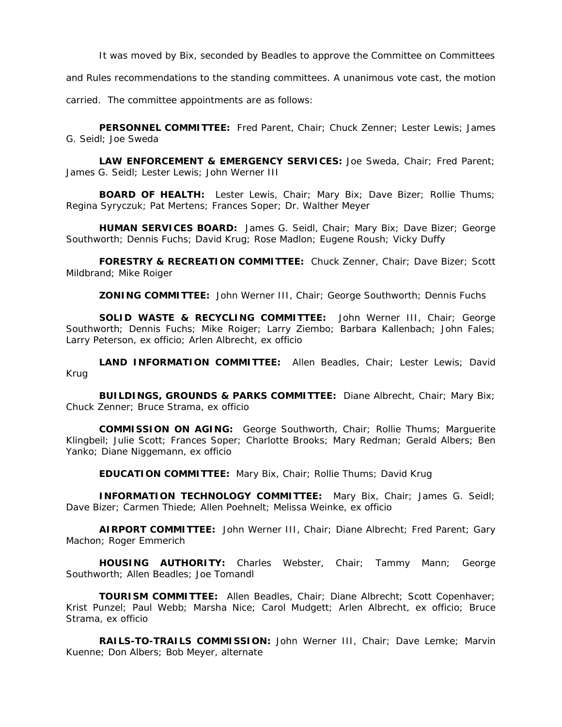It was moved by Bix, seconded by Beadles to approve the Committee on Committees

and Rules recommendations to the standing committees. A unanimous vote cast, the motion

carried. The committee appointments are as follows:

**PERSONNEL COMMITTEE:** Fred Parent, Chair; Chuck Zenner; Lester Lewis; James G. Seidl; Joe Sweda

**LAW ENFORCEMENT & EMERGENCY SERVICES:** Joe Sweda, Chair; Fred Parent; James G. Seidl; Lester Lewis; John Werner III

**BOARD OF HEALTH:** Lester Lewis, Chair; Mary Bix; Dave Bizer; Rollie Thums; Regina Syryczuk; Pat Mertens; Frances Soper; Dr. Walther Meyer

**HUMAN SERVICES BOARD:** James G. Seidl, Chair; Mary Bix; Dave Bizer; George Southworth; Dennis Fuchs; David Krug; Rose Madlon; Eugene Roush; Vicky Duffy

**FORESTRY & RECREATION COMMITTEE:** Chuck Zenner, Chair; Dave Bizer; Scott Mildbrand; Mike Roiger

**ZONING COMMITTEE:** John Werner III, Chair; George Southworth; Dennis Fuchs

**SOLID WASTE & RECYCLING COMMITTEE:** John Werner III, Chair; George Southworth; Dennis Fuchs; Mike Roiger; Larry Ziembo; Barbara Kallenbach; John Fales; Larry Peterson, ex officio; Arlen Albrecht, ex officio

**LAND INFORMATION COMMITTEE:** Allen Beadles, Chair; Lester Lewis; David Krug

**BUILDINGS, GROUNDS & PARKS COMMITTEE:** Diane Albrecht, Chair; Mary Bix; Chuck Zenner; Bruce Strama, ex officio

**COMMISSION ON AGING:** George Southworth, Chair; Rollie Thums; Marguerite Klingbeil; Julie Scott; Frances Soper; Charlotte Brooks; Mary Redman; Gerald Albers; Ben Yanko; Diane Niggemann, ex officio

**EDUCATION COMMITTEE:** Mary Bix, Chair; Rollie Thums; David Krug

**INFORMATION TECHNOLOGY COMMITTEE:** Mary Bix, Chair; James G. Seidl; Dave Bizer; Carmen Thiede; Allen Poehnelt; Melissa Weinke, ex officio

**AIRPORT COMMITTEE:** John Werner III, Chair; Diane Albrecht; Fred Parent; Gary Machon; Roger Emmerich

**HOUSING AUTHORITY:** Charles Webster, Chair; Tammy Mann; George Southworth; Allen Beadles; Joe Tomandl

**TOURISM COMMITTEE:** Allen Beadles, Chair; Diane Albrecht; Scott Copenhaver; Krist Punzel; Paul Webb; Marsha Nice; Carol Mudgett; Arlen Albrecht, ex officio; Bruce Strama, ex officio

**RAILS-TO-TRAILS COMMISSION:** John Werner III, Chair; Dave Lemke; Marvin Kuenne; Don Albers; Bob Meyer, alternate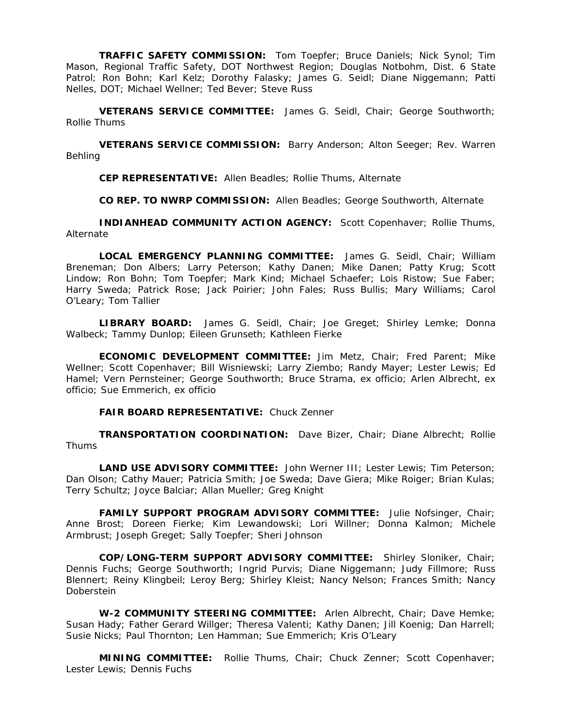**TRAFFIC SAFETY COMMISSION:** Tom Toepfer; Bruce Daniels; Nick Synol; Tim Mason, Regional Traffic Safety, DOT Northwest Region; Douglas Notbohm, Dist. 6 State Patrol; Ron Bohn; Karl Kelz; Dorothy Falasky; James G. Seidl; Diane Niggemann; Patti Nelles, DOT; Michael Wellner; Ted Bever; Steve Russ

**VETERANS SERVICE COMMITTEE:** James G. Seidl, Chair; George Southworth; Rollie Thums

**VETERANS SERVICE COMMISSION:** Barry Anderson; Alton Seeger; Rev. Warren Behling

**CEP REPRESENTATIVE:** Allen Beadles; Rollie Thums, Alternate

**CO REP. TO NWRP COMMISSION:** Allen Beadles; George Southworth, Alternate

**INDIANHEAD COMMUNITY ACTION AGENCY:** Scott Copenhaver; Rollie Thums, Alternate

**LOCAL EMERGENCY PLANNING COMMITTEE:** James G. Seidl, Chair; William Breneman; Don Albers; Larry Peterson; Kathy Danen; Mike Danen; Patty Krug; Scott Lindow; Ron Bohn; Tom Toepfer; Mark Kind; Michael Schaefer; Lois Ristow; Sue Faber; Harry Sweda; Patrick Rose; Jack Poirier; John Fales; Russ Bullis; Mary Williams; Carol O'Leary; Tom Tallier

**LIBRARY BOARD:** James G. Seidl, Chair; Joe Greget; Shirley Lemke; Donna Walbeck; Tammy Dunlop; Eileen Grunseth; Kathleen Fierke

**ECONOMIC DEVELOPMENT COMMITTEE:** Jim Metz, Chair; Fred Parent; Mike Wellner; Scott Copenhaver; Bill Wisniewski; Larry Ziembo; Randy Mayer; Lester Lewis; Ed Hamel; Vern Pernsteiner; George Southworth; Bruce Strama, ex officio; Arlen Albrecht, ex officio; Sue Emmerich, ex officio

**FAIR BOARD REPRESENTATIVE:** Chuck Zenner

**TRANSPORTATION COORDINATION:** Dave Bizer, Chair; Diane Albrecht; Rollie Thums

**LAND USE ADVISORY COMMITTEE:** John Werner III; Lester Lewis; Tim Peterson; Dan Olson; Cathy Mauer; Patricia Smith; Joe Sweda; Dave Giera; Mike Roiger; Brian Kulas; Terry Schultz; Joyce Balciar; Allan Mueller; Greg Knight

**FAMILY SUPPORT PROGRAM ADVISORY COMMITTEE:** Julie Nofsinger, Chair; Anne Brost; Doreen Fierke; Kim Lewandowski; Lori Willner; Donna Kalmon; Michele Armbrust; Joseph Greget; Sally Toepfer; Sheri Johnson

**COP/LONG-TERM SUPPORT ADVISORY COMMITTEE:** Shirley Sloniker, Chair; Dennis Fuchs; George Southworth; Ingrid Purvis; Diane Niggemann; Judy Fillmore; Russ Blennert; Reiny Klingbeil; Leroy Berg; Shirley Kleist; Nancy Nelson; Frances Smith; Nancy Doberstein

**W-2 COMMUNITY STEERING COMMITTEE:** Arlen Albrecht, Chair; Dave Hemke; Susan Hady; Father Gerard Willger; Theresa Valenti; Kathy Danen; Jill Koenig; Dan Harrell; Susie Nicks; Paul Thornton; Len Hamman; Sue Emmerich; Kris O'Leary

**MINING COMMITTEE:** Rollie Thums, Chair; Chuck Zenner; Scott Copenhaver; Lester Lewis; Dennis Fuchs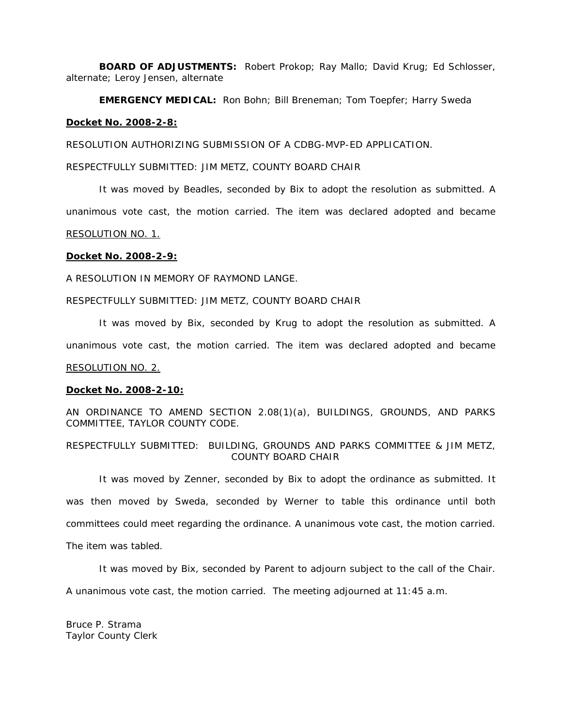**BOARD OF ADJUSTMENTS:** Robert Prokop; Ray Mallo; David Krug; Ed Schlosser, alternate; Leroy Jensen, alternate

**EMERGENCY MEDICAL:** Ron Bohn; Bill Breneman; Tom Toepfer; Harry Sweda

## **Docket No. 2008-2-8:**

RESOLUTION AUTHORIZING SUBMISSION OF A CDBG-MVP-ED APPLICATION.

RESPECTFULLY SUBMITTED: JIM METZ, COUNTY BOARD CHAIR

It was moved by Beadles, seconded by Bix to adopt the resolution as submitted. A unanimous vote cast, the motion carried. The item was declared adopted and became RESOLUTION NO. 1.

## **Docket No. 2008-2-9:**

A RESOLUTION IN MEMORY OF RAYMOND LANGE.

#### RESPECTFULLY SUBMITTED: JIM METZ, COUNTY BOARD CHAIR

It was moved by Bix, seconded by Krug to adopt the resolution as submitted. A unanimous vote cast, the motion carried. The item was declared adopted and became RESOLUTION NO. 2.

#### **Docket No. 2008-2-10:**

AN ORDINANCE TO AMEND SECTION 2.08(1)(a), BUILDINGS, GROUNDS, AND PARKS COMMITTEE, TAYLOR COUNTY CODE.

RESPECTFULLY SUBMITTED: BUILDING, GROUNDS AND PARKS COMMITTEE & JIM METZ, COUNTY BOARD CHAIR

 It was moved by Zenner, seconded by Bix to adopt the ordinance as submitted. It was then moved by Sweda, seconded by Werner to table this ordinance until both committees could meet regarding the ordinance. A unanimous vote cast, the motion carried. The item was tabled.

It was moved by Bix, seconded by Parent to adjourn subject to the call of the Chair.

A unanimous vote cast, the motion carried. The meeting adjourned at 11:45 a.m.

Bruce P. Strama Taylor County Clerk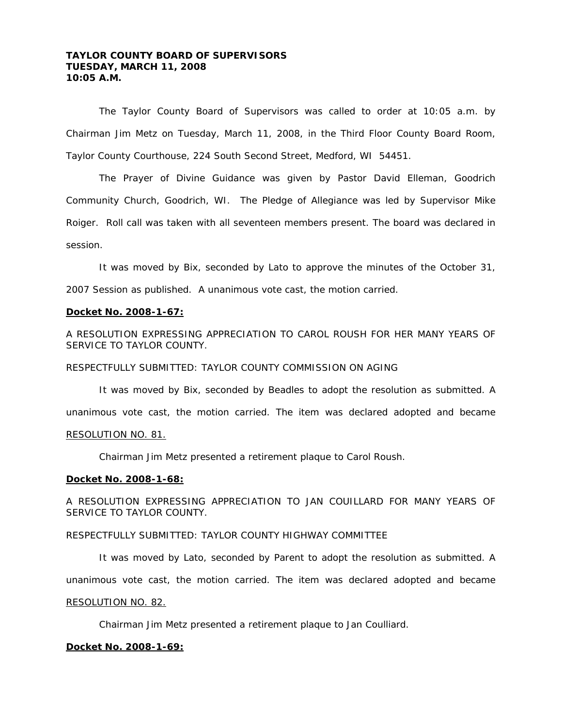# **TAYLOR COUNTY BOARD OF SUPERVISORS TUESDAY, MARCH 11, 2008 10:05 A.M.**

 The Taylor County Board of Supervisors was called to order at 10:05 a.m. by Chairman Jim Metz on Tuesday, March 11, 2008, in the Third Floor County Board Room, Taylor County Courthouse, 224 South Second Street, Medford, WI 54451.

 The Prayer of Divine Guidance was given by Pastor David Elleman, Goodrich Community Church, Goodrich, WI. The Pledge of Allegiance was led by Supervisor Mike Roiger. Roll call was taken with all seventeen members present. The board was declared in session.

 It was moved by Bix, seconded by Lato to approve the minutes of the October 31, 2007 Session as published. A unanimous vote cast, the motion carried.

### **Docket No. 2008-1-67:**

A RESOLUTION EXPRESSING APPRECIATION TO CAROL ROUSH FOR HER MANY YEARS OF SERVICE TO TAYLOR COUNTY.

#### RESPECTFULLY SUBMITTED: TAYLOR COUNTY COMMISSION ON AGING

It was moved by Bix, seconded by Beadles to adopt the resolution as submitted. A unanimous vote cast, the motion carried. The item was declared adopted and became RESOLUTION NO. 81.

Chairman Jim Metz presented a retirement plaque to Carol Roush.

#### **Docket No. 2008-1-68:**

A RESOLUTION EXPRESSING APPRECIATION TO JAN COUILLARD FOR MANY YEARS OF SERVICE TO TAYLOR COUNTY.

# RESPECTFULLY SUBMITTED: TAYLOR COUNTY HIGHWAY COMMITTEE

It was moved by Lato, seconded by Parent to adopt the resolution as submitted. A unanimous vote cast, the motion carried. The item was declared adopted and became RESOLUTION NO. 82.

Chairman Jim Metz presented a retirement plaque to Jan Coulliard.

#### **Docket No. 2008-1-69:**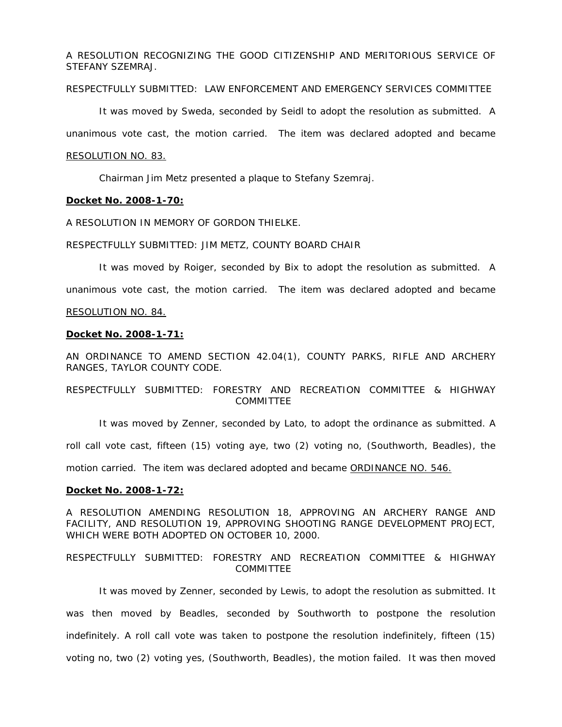A RESOLUTION RECOGNIZING THE GOOD CITIZENSHIP AND MERITORIOUS SERVICE OF STEFANY SZEMRAJ.

# RESPECTFULLY SUBMITTED: LAW ENFORCEMENT AND EMERGENCY SERVICES COMMITTEE

It was moved by Sweda, seconded by Seidl to adopt the resolution as submitted. A

unanimous vote cast, the motion carried. The item was declared adopted and became

#### RESOLUTION NO. 83.

Chairman Jim Metz presented a plaque to Stefany Szemraj.

#### **Docket No. 2008-1-70:**

A RESOLUTION IN MEMORY OF GORDON THIELKE.

#### RESPECTFULLY SUBMITTED: JIM METZ, COUNTY BOARD CHAIR

It was moved by Roiger, seconded by Bix to adopt the resolution as submitted. A

unanimous vote cast, the motion carried. The item was declared adopted and became

#### RESOLUTION NO. 84.

# **Docket No. 2008-1-71:**

AN ORDINANCE TO AMEND SECTION 42.04(1), COUNTY PARKS, RIFLE AND ARCHERY RANGES, TAYLOR COUNTY CODE.

# RESPECTFULLY SUBMITTED: FORESTRY AND RECREATION COMMITTEE & HIGHWAY COMMITTEE

 It was moved by Zenner, seconded by Lato, to adopt the ordinance as submitted. A roll call vote cast, fifteen (15) voting aye, two (2) voting no, (Southworth, Beadles), the motion carried. The item was declared adopted and became ORDINANCE NO. 546.

#### **Docket No. 2008-1-72:**

A RESOLUTION AMENDING RESOLUTION 18, APPROVING AN ARCHERY RANGE AND FACILITY, AND RESOLUTION 19, APPROVING SHOOTING RANGE DEVELOPMENT PROJECT, WHICH WERE BOTH ADOPTED ON OCTOBER 10, 2000.

## RESPECTFULLY SUBMITTED: FORESTRY AND RECREATION COMMITTEE & HIGHWAY COMMITTEE

 It was moved by Zenner, seconded by Lewis, to adopt the resolution as submitted. It was then moved by Beadles, seconded by Southworth to postpone the resolution indefinitely. A roll call vote was taken to postpone the resolution indefinitely, fifteen (15) voting no, two (2) voting yes, (Southworth, Beadles), the motion failed. It was then moved